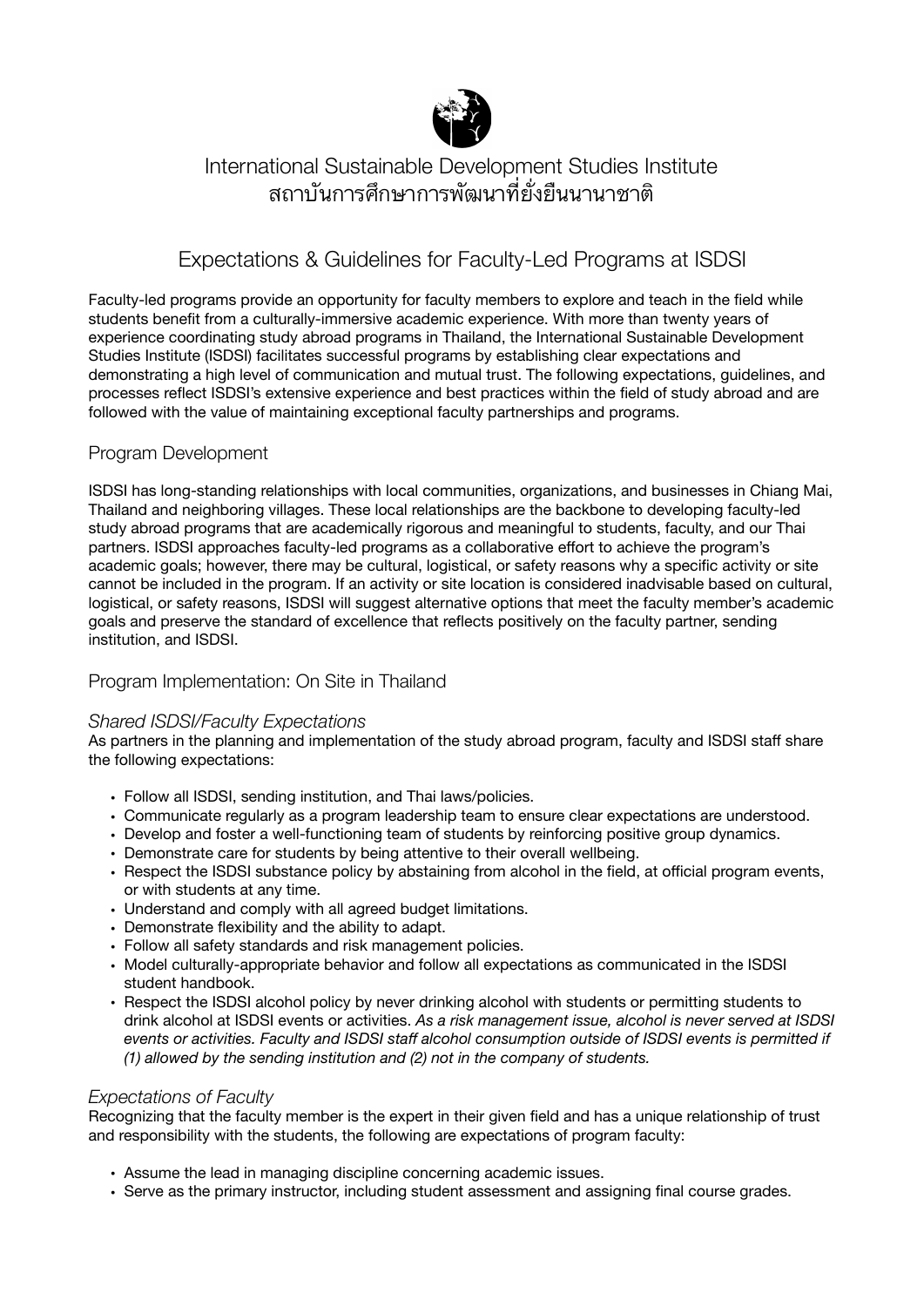

# International Sustainable Development Studies Institute ี่สถาบันการศึกษาการพัฒนาที่ยั้งยืนนานาชาติ

## Expectations & Guidelines for Faculty-Led Programs at ISDSI

Faculty-led programs provide an opportunity for faculty members to explore and teach in the field while students benefit from a culturally-immersive academic experience. With more than twenty years of experience coordinating study abroad programs in Thailand, the International Sustainable Development Studies Institute (ISDSI) facilitates successful programs by establishing clear expectations and demonstrating a high level of communication and mutual trust. The following expectations, guidelines, and processes reflect ISDSI's extensive experience and best practices within the field of study abroad and are followed with the value of maintaining exceptional faculty partnerships and programs.

## Program Development

ISDSI has long-standing relationships with local communities, organizations, and businesses in Chiang Mai, Thailand and neighboring villages. These local relationships are the backbone to developing faculty-led study abroad programs that are academically rigorous and meaningful to students, faculty, and our Thai partners. ISDSI approaches faculty-led programs as a collaborative effort to achieve the program's academic goals; however, there may be cultural, logistical, or safety reasons why a specific activity or site cannot be included in the program. If an activity or site location is considered inadvisable based on cultural, logistical, or safety reasons, ISDSI will suggest alternative options that meet the faculty member's academic goals and preserve the standard of excellence that reflects positively on the faculty partner, sending institution, and ISDSI.

## Program Implementation: On Site in Thailand

### *Shared ISDSI/Faculty Expectations*

As partners in the planning and implementation of the study abroad program, faculty and ISDSI staff share the following expectations:

- Follow all ISDSI, sending institution, and Thai laws/policies.
- Communicate regularly as a program leadership team to ensure clear expectations are understood.
- Develop and foster a well-functioning team of students by reinforcing positive group dynamics.
- Demonstrate care for students by being attentive to their overall wellbeing.
- Respect the ISDSI substance policy by abstaining from alcohol in the field, at official program events, or with students at any time.
- Understand and comply with all agreed budget limitations.
- Demonstrate flexibility and the ability to adapt.
- Follow all safety standards and risk management policies.
- Model culturally-appropriate behavior and follow all expectations as communicated in the ISDSI student handbook.
- Respect the ISDSI alcohol policy by never drinking alcohol with students or permitting students to drink alcohol at ISDSI events or activities. *As a risk management issue, alcohol is never served at ISDSI events or activities. Faculty and ISDSI staff alcohol consumption outside of ISDSI events is permitted if (1) allowed by the sending institution and (2) not in the company of students.*

#### *Expectations of Faculty*

Recognizing that the faculty member is the expert in their given field and has a unique relationship of trust and responsibility with the students, the following are expectations of program faculty:

- Assume the lead in managing discipline concerning academic issues.
- Serve as the primary instructor, including student assessment and assigning final course grades.